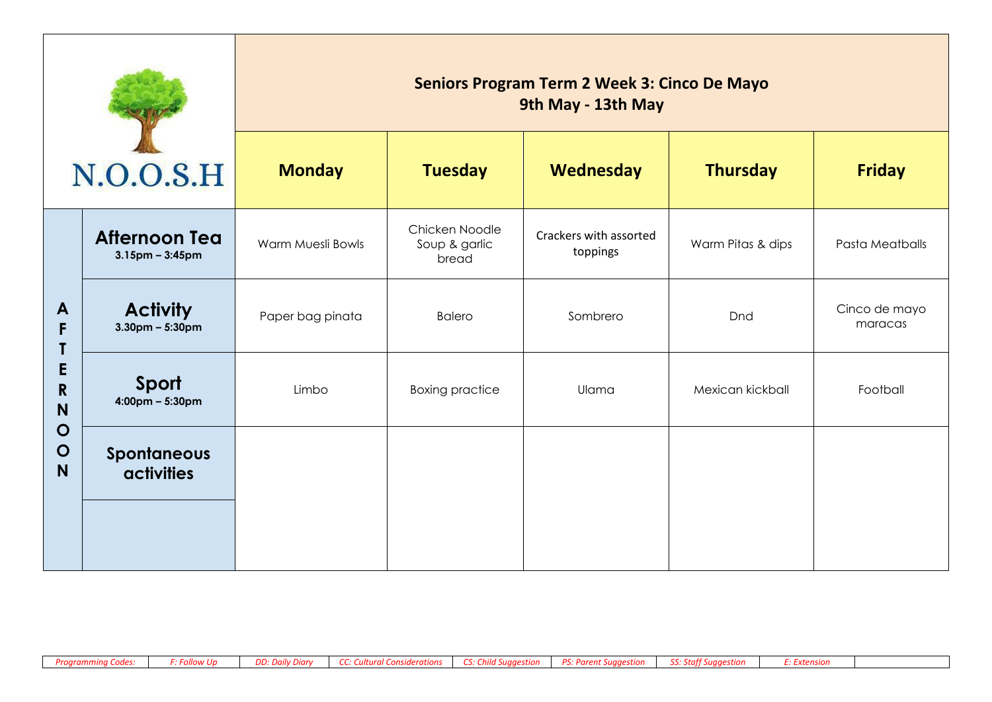| N.O.O.S.H                        |                                               | <b>Seniors Program Term 2 Week 3: Cinco De Mayo</b><br>9th May - 13th May |                                          |                                    |                   |                          |  |  |
|----------------------------------|-----------------------------------------------|---------------------------------------------------------------------------|------------------------------------------|------------------------------------|-------------------|--------------------------|--|--|
|                                  |                                               | <b>Monday</b>                                                             | <b>Tuesday</b>                           | Wednesday                          | <b>Thursday</b>   | <b>Friday</b>            |  |  |
| A<br>F<br>E<br>$\mathsf{R}$<br>N | <b>Afternoon Tea</b><br>$3.15$ pm – $3:45$ pm | Warm Muesli Bowls                                                         | Chicken Noodle<br>Soup & garlic<br>bread | Crackers with assorted<br>toppings | Warm Pitas & dips | Pasta Meatballs          |  |  |
|                                  | <b>Activity</b><br>$3.30$ pm – 5:30pm         | Paper bag pinata                                                          | <b>Balero</b>                            | Sombrero                           | Dnd               | Cinco de mayo<br>maracas |  |  |
|                                  | Sport<br>$4:00 \text{pm} - 5:30 \text{pm}$    | Limbo                                                                     | <b>Boxing practice</b>                   | Ulama                              | Mexican kickball  | Football                 |  |  |
| $\mathbf O$<br>$\mathbf O$<br>N  | <b>Spontaneous</b><br><b>activities</b>       |                                                                           |                                          |                                    |                   |                          |  |  |
|                                  |                                               |                                                                           |                                          |                                    |                   |                          |  |  |

÷.

T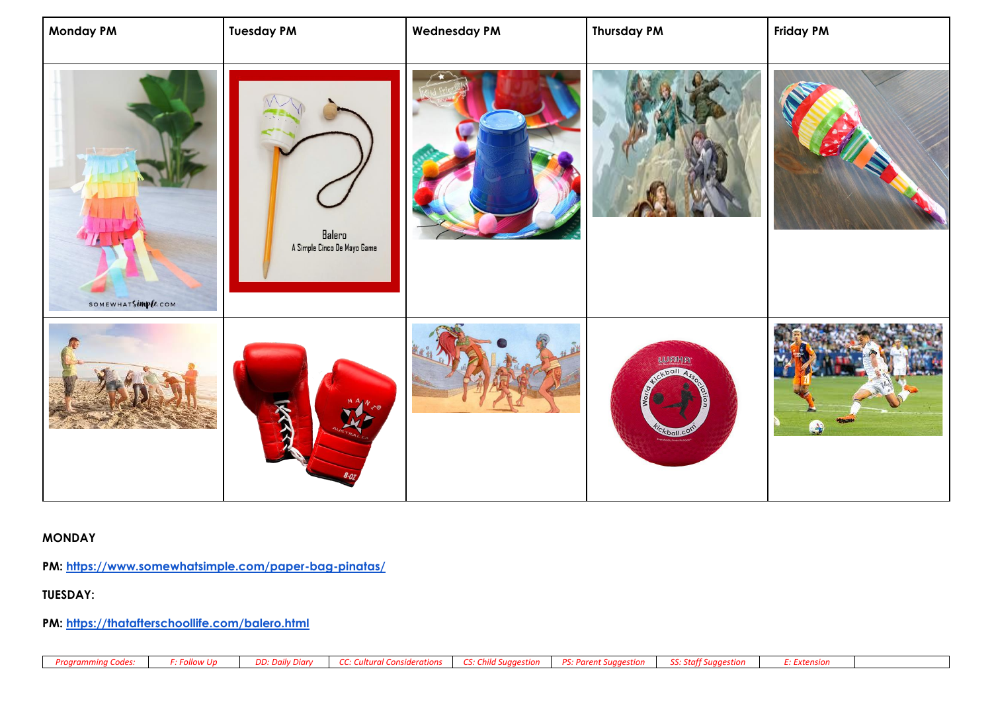| <b>Monday PM</b>   | <b>Tuesday PM</b>                     | <b>Wednesday PM</b> | <b>Thursday PM</b>                  | <b>Friday PM</b> |
|--------------------|---------------------------------------|---------------------|-------------------------------------|------------------|
| SOMEWHATSIMPEE.COM | Balero<br>A Simple Cinco De Mayo Game |                     |                                     | X                |
|                    | ARK                                   |                     | WAKA<br>ball<br>kball. <sup>C</sup> | $\bullet$        |

## **MONDAY**

**PM:<https://www.somewhatsimple.com/paper-bag-pinatas/>**

## **TUESDAY:**

**PM:<https://thatafterschoollife.com/balero.html>**